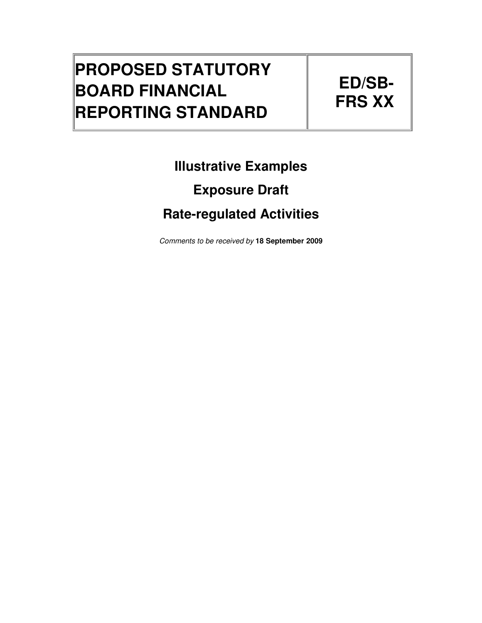## **PROPOSED STATUTORY BOARD FINANCIAL REPORTING STANDARD**

# **ED/SB-FRS XX**

## **Illustrative Examples**

## **Exposure Draft**

## **Rate-regulated Activities**

Comments to be received by **18 September 2009**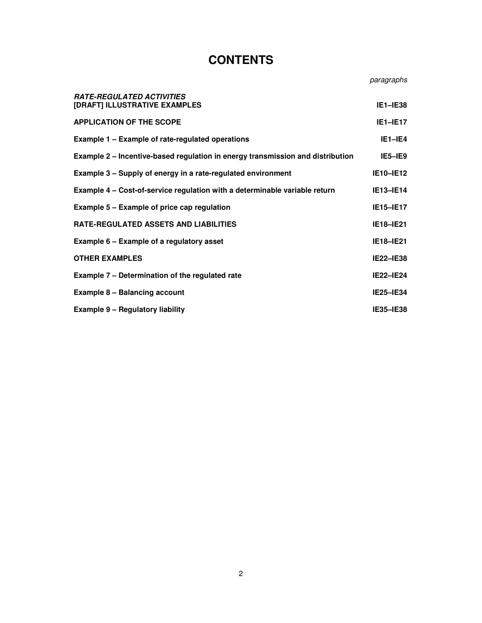### **CONTENTS**

paragraphs

| <b>RATE-REGULATED ACTIVITIES</b><br>[DRAFT] ILLUSTRATIVE EXAMPLES              | $IE1 - IE38$     |
|--------------------------------------------------------------------------------|------------------|
| <b>APPLICATION OF THE SCOPE</b>                                                | $IE1-IE17$       |
| <b>Example 1 – Example of rate-regulated operations</b>                        | $IE1-IE4$        |
| Example 2 – Incentive-based regulation in energy transmission and distribution | $IE5-IE9$        |
| Example 3 – Supply of energy in a rate-regulated environment                   | <b>IE10-IE12</b> |
| Example 4 – Cost-of-service regulation with a determinable variable return     | <b>IE13-IE14</b> |
| <b>Example 5 - Example of price cap regulation</b>                             | <b>IE15-IE17</b> |
| RATE-REGULATED ASSETS AND LIABILITIES                                          | <b>IE18-IE21</b> |
| Example 6 – Example of a regulatory asset                                      | <b>IE18-IE21</b> |
| OTHER EXAMPLES                                                                 | <b>IE22-IE38</b> |
| Example 7 - Determination of the regulated rate                                | <b>IE22-IE24</b> |
| <b>Example 8 - Balancing account</b>                                           | <b>IE25-IE34</b> |
| <b>Example 9 - Regulatory liability</b>                                        | <b>IE35-IE38</b> |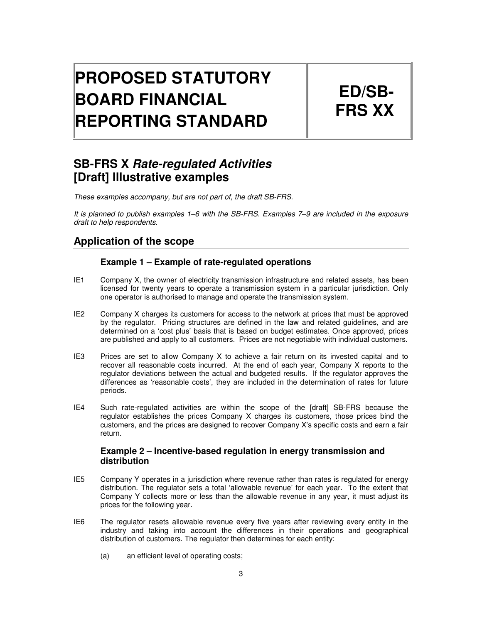# **PROPOSED STATUTORY BOARD FINANCIAL REPORTING STANDARD**

**ED/SB-FRS XX** 

### **SB-FRS X Rate-regulated Activities [Draft] Illustrative examples**

These examples accompany, but are not part of, the draft SB-FRS.

It is planned to publish examples 1–6 with the SB-FRS. Examples 7–9 are included in the exposure draft to help respondents.

#### **Application of the scope**

#### **Example 1 – Example of rate-regulated operations**

- IE1 Company X, the owner of electricity transmission infrastructure and related assets, has been licensed for twenty years to operate a transmission system in a particular jurisdiction. Only one operator is authorised to manage and operate the transmission system.
- IE2 Company X charges its customers for access to the network at prices that must be approved by the regulator. Pricing structures are defined in the law and related guidelines, and are determined on a 'cost plus' basis that is based on budget estimates. Once approved, prices are published and apply to all customers. Prices are not negotiable with individual customers.
- IE3 Prices are set to allow Company X to achieve a fair return on its invested capital and to recover all reasonable costs incurred. At the end of each year, Company X reports to the regulator deviations between the actual and budgeted results. If the regulator approves the differences as 'reasonable costs', they are included in the determination of rates for future periods.
- IE4 Such rate-regulated activities are within the scope of the [draft] SB-FRS because the regulator establishes the prices Company X charges its customers, those prices bind the customers, and the prices are designed to recover Company X's specific costs and earn a fair return.

#### **Example 2 – Incentive-based regulation in energy transmission and distribution**

- IE5 Company Y operates in a jurisdiction where revenue rather than rates is regulated for energy distribution. The regulator sets a total 'allowable revenue' for each year. To the extent that Company Y collects more or less than the allowable revenue in any year, it must adjust its prices for the following year.
- IE6 The regulator resets allowable revenue every five years after reviewing every entity in the industry and taking into account the differences in their operations and geographical distribution of customers. The regulator then determines for each entity:
	- (a) an efficient level of operating costs;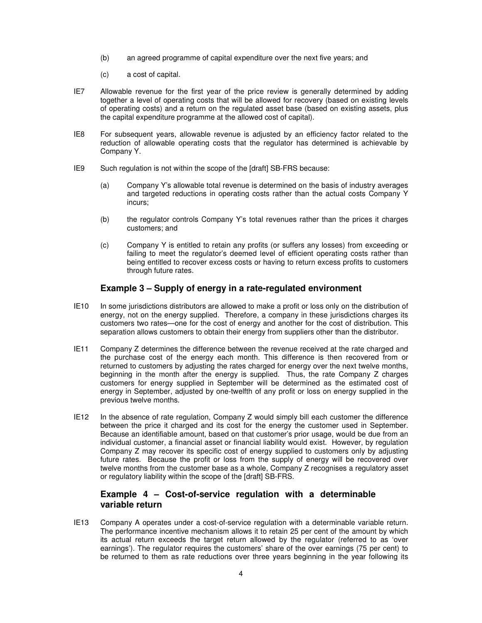- (b) an agreed programme of capital expenditure over the next five years; and
- (c) a cost of capital.
- IE7 Allowable revenue for the first year of the price review is generally determined by adding together a level of operating costs that will be allowed for recovery (based on existing levels of operating costs) and a return on the regulated asset base (based on existing assets, plus the capital expenditure programme at the allowed cost of capital).
- IE8 For subsequent years, allowable revenue is adjusted by an efficiency factor related to the reduction of allowable operating costs that the regulator has determined is achievable by Company Y.
- IE9 Such regulation is not within the scope of the [draft] SB-FRS because:
	- (a) Company Y's allowable total revenue is determined on the basis of industry averages and targeted reductions in operating costs rather than the actual costs Company Y incurs;
	- (b) the regulator controls Company Y's total revenues rather than the prices it charges customers; and
	- (c) Company Y is entitled to retain any profits (or suffers any losses) from exceeding or failing to meet the regulator's deemed level of efficient operating costs rather than being entitled to recover excess costs or having to return excess profits to customers through future rates.

#### **Example 3 – Supply of energy in a rate-regulated environment**

- IE10 In some jurisdictions distributors are allowed to make a profit or loss only on the distribution of energy, not on the energy supplied. Therefore, a company in these jurisdictions charges its customers two rates—one for the cost of energy and another for the cost of distribution. This separation allows customers to obtain their energy from suppliers other than the distributor.
- IE11 Company Z determines the difference between the revenue received at the rate charged and the purchase cost of the energy each month. This difference is then recovered from or returned to customers by adjusting the rates charged for energy over the next twelve months, beginning in the month after the energy is supplied. Thus, the rate Company Z charges customers for energy supplied in September will be determined as the estimated cost of energy in September, adjusted by one-twelfth of any profit or loss on energy supplied in the previous twelve months.
- IE12 In the absence of rate regulation, Company Z would simply bill each customer the difference between the price it charged and its cost for the energy the customer used in September. Because an identifiable amount, based on that customer's prior usage, would be due from an individual customer, a financial asset or financial liability would exist. However, by regulation Company Z may recover its specific cost of energy supplied to customers only by adjusting future rates. Because the profit or loss from the supply of energy will be recovered over twelve months from the customer base as a whole, Company Z recognises a regulatory asset or regulatory liability within the scope of the [draft] SB-FRS.

#### **Example 4 – Cost-of-service regulation with a determinable variable return**

IE13 Company A operates under a cost-of-service regulation with a determinable variable return. The performance incentive mechanism allows it to retain 25 per cent of the amount by which its actual return exceeds the target return allowed by the regulator (referred to as 'over earnings'). The regulator requires the customers' share of the over earnings (75 per cent) to be returned to them as rate reductions over three years beginning in the year following its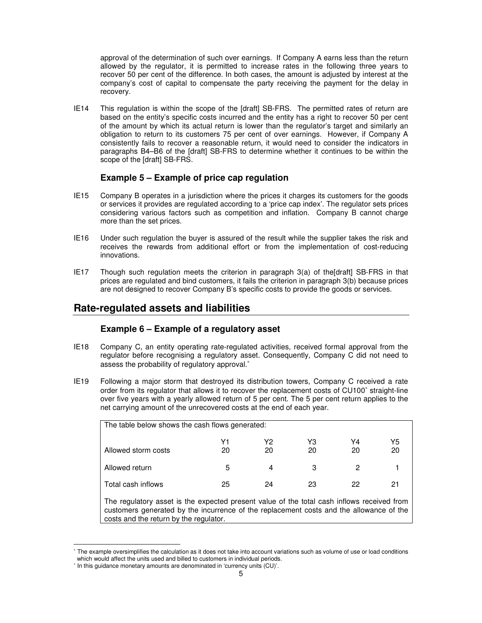approval of the determination of such over earnings. If Company A earns less than the return allowed by the regulator, it is permitted to increase rates in the following three years to recover 50 per cent of the difference. In both cases, the amount is adjusted by interest at the company's cost of capital to compensate the party receiving the payment for the delay in recovery.

IE14 This regulation is within the scope of the [draft] SB-FRS. The permitted rates of return are based on the entity's specific costs incurred and the entity has a right to recover 50 per cent of the amount by which its actual return is lower than the regulator's target and similarly an obligation to return to its customers 75 per cent of over earnings. However, if Company A consistently fails to recover a reasonable return, it would need to consider the indicators in paragraphs B4–B6 of the [draft] SB-FRS to determine whether it continues to be within the scope of the [draft] SB-FRS.

#### **Example 5 – Example of price cap regulation**

- IE15 Company B operates in a jurisdiction where the prices it charges its customers for the goods or services it provides are regulated according to a 'price cap index'. The regulator sets prices considering various factors such as competition and inflation. Company B cannot charge more than the set prices.
- IE16 Under such regulation the buyer is assured of the result while the supplier takes the risk and receives the rewards from additional effort or from the implementation of cost-reducing innovations.
- IE17 Though such regulation meets the criterion in paragraph 3(a) of the[draft] SB-FRS in that prices are regulated and bind customers, it fails the criterion in paragraph 3(b) because prices are not designed to recover Company B's specific costs to provide the goods or services.

#### **Rate-regulated assets and liabilities**

#### **Example 6 – Example of a regulatory asset**

- IE18 Company C, an entity operating rate-regulated activities, received formal approval from the regulator before recognising a regulatory asset. Consequently, Company C did not need to assess the probability of regulatory approval.<sup>\*</sup>
- IE19 Following a major storm that destroyed its distribution towers, Company C received a rate order from its regulator that allows it to recover the replacement costs of CU100<sup>®</sup> straight-line over five years with a yearly allowed return of 5 per cent. The 5 per cent return applies to the net carrying amount of the unrecovered costs at the end of each year.

| The table below shows the cash flows generated: |          |          |          |          |          |
|-------------------------------------------------|----------|----------|----------|----------|----------|
| Allowed storm costs                             | Υ1<br>20 | Υ2<br>20 | Y3<br>20 | Y4<br>20 | Y5<br>20 |
| Allowed return                                  | 5        | 4        | 3        | 2        |          |
| Total cash inflows                              | 25       | 24       | 23       | 22       | 21       |

The regulatory asset is the expected present value of the total cash inflows received from customers generated by the incurrence of the replacement costs and the allowance of the costs and the return by the regulator.

l

<sup>∗</sup> The example oversimplifies the calculation as it does not take into account variations such as volume of use or load conditions which would affect the units used and billed to customers in individual periods.

<sup>∗</sup> In this guidance monetary amounts are denominated in 'currency units (CU)'.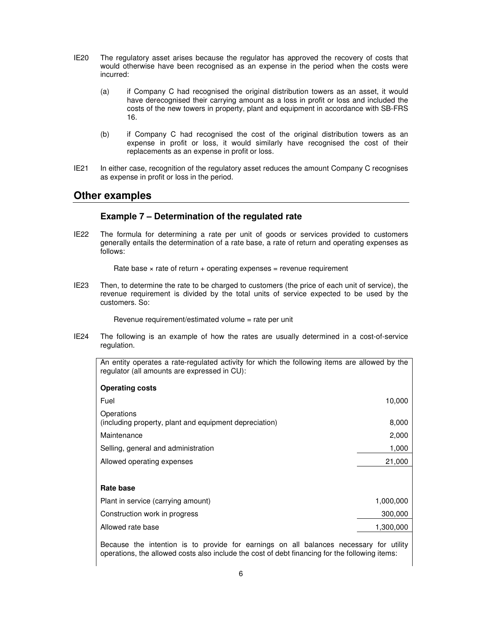- IE20 The regulatory asset arises because the regulator has approved the recovery of costs that would otherwise have been recognised as an expense in the period when the costs were incurred:
	- (a) if Company C had recognised the original distribution towers as an asset, it would have derecognised their carrying amount as a loss in profit or loss and included the costs of the new towers in property, plant and equipment in accordance with SB-FRS 16.
	- (b) if Company C had recognised the cost of the original distribution towers as an expense in profit or loss, it would similarly have recognised the cost of their replacements as an expense in profit or loss.
- IE21 In either case, recognition of the regulatory asset reduces the amount Company C recognises as expense in profit or loss in the period.

#### **Other examples**

#### **Example 7 – Determination of the regulated rate**

IE22 The formula for determining a rate per unit of goods or services provided to customers generally entails the determination of a rate base, a rate of return and operating expenses as follows:

Rate base  $\times$  rate of return + operating expenses = revenue requirement

IE23 Then, to determine the rate to be charged to customers (the price of each unit of service), the revenue requirement is divided by the total units of service expected to be used by the customers. So:

Revenue requirement/estimated volume = rate per unit

IE24 The following is an example of how the rates are usually determined in a cost-of-service regulation.

An entity operates a rate-regulated activity for which the following items are allowed by the regulator (all amounts are expressed in CU):

| <b>Operating costs</b>                                               |           |
|----------------------------------------------------------------------|-----------|
| Fuel                                                                 | 10,000    |
| Operations<br>(including property, plant and equipment depreciation) | 8,000     |
| Maintenance                                                          | 2,000     |
| Selling, general and administration                                  | 1,000     |
| Allowed operating expenses                                           | 21,000    |
|                                                                      |           |
| Rate base                                                            |           |
| Plant in service (carrying amount)                                   | 1,000,000 |
| Construction work in progress                                        | 300,000   |
| Allowed rate base                                                    | 1,300,000 |
|                                                                      |           |

Because the intention is to provide for earnings on all balances necessary for utility operations, the allowed costs also include the cost of debt financing for the following items: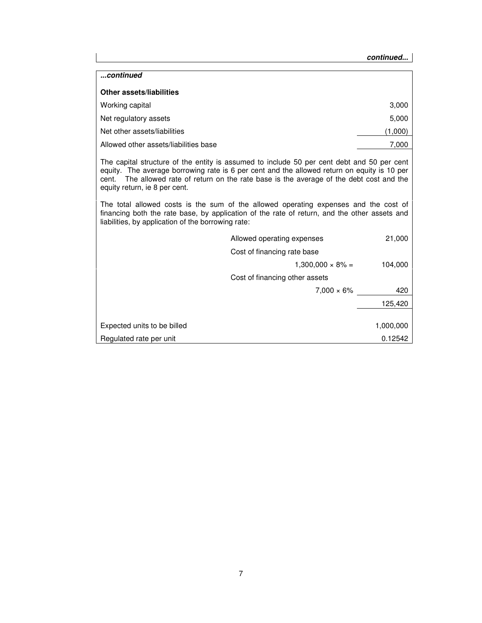#### **continued...**

| continued                             |         |
|---------------------------------------|---------|
| <b>Other assets/liabilities</b>       |         |
| Working capital                       | 3,000   |
| Net regulatory assets                 | 5,000   |
| Net other assets/liabilities          | (1,000) |
| Allowed other assets/liabilities base | 7,000   |

The capital structure of the entity is assumed to include 50 per cent debt and 50 per cent equity. The average borrowing rate is 6 per cent and the allowed return on equity is 10 per cent. The allowed rate of return on the rate base is the average of the debt cost and the equity return, ie 8 per cent.

The total allowed costs is the sum of the allowed operating expenses and the cost of financing both the rate base, by application of the rate of return, and the other assets and liabilities, by application of the borrowing rate:

|                             | Allowed operating expenses     | 21,000    |
|-----------------------------|--------------------------------|-----------|
|                             | Cost of financing rate base    |           |
|                             | $1,300,000 \times 8\% =$       | 104,000   |
|                             | Cost of financing other assets |           |
|                             | $7.000 \times 6\%$             | 420       |
|                             |                                | 125,420   |
|                             |                                |           |
| Expected units to be billed |                                | 1,000,000 |
| Regulated rate per unit     |                                | 0.12542   |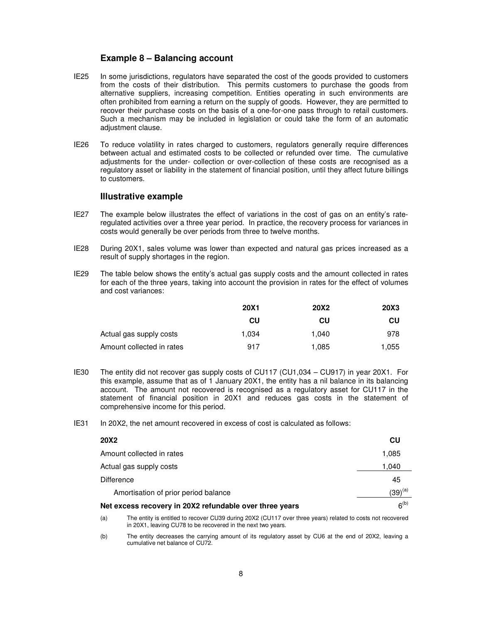#### **Example 8 – Balancing account**

- IE25 In some jurisdictions, regulators have separated the cost of the goods provided to customers from the costs of their distribution. This permits customers to purchase the goods from alternative suppliers, increasing competition. Entities operating in such environments are often prohibited from earning a return on the supply of goods. However, they are permitted to recover their purchase costs on the basis of a one-for-one pass through to retail customers. Such a mechanism may be included in legislation or could take the form of an automatic adjustment clause.
- IE26 To reduce volatility in rates charged to customers, regulators generally require differences between actual and estimated costs to be collected or refunded over time. The cumulative adjustments for the under- collection or over-collection of these costs are recognised as a regulatory asset or liability in the statement of financial position, until they affect future billings to customers.

#### **Illustrative example**

- IE27 The example below illustrates the effect of variations in the cost of gas on an entity's rateregulated activities over a three year period. In practice, the recovery process for variances in costs would generally be over periods from three to twelve months.
- IE28 During 20X1, sales volume was lower than expected and natural gas prices increased as a result of supply shortages in the region.
- IE29 The table below shows the entity's actual gas supply costs and the amount collected in rates for each of the three years, taking into account the provision in rates for the effect of volumes and cost variances:

|                           | <b>20X1</b> | <b>20X2</b> | <b>20X3</b> |
|---------------------------|-------------|-------------|-------------|
|                           | CU          | CU          | CU          |
| Actual gas supply costs   | 1.034       | 1.040       | 978         |
| Amount collected in rates | 917         | 1.085       | 1,055       |

- IE30 The entity did not recover gas supply costs of CU117 (CU1,034 CU917) in year 20X1. For this example, assume that as of 1 January 20X1, the entity has a nil balance in its balancing account. The amount not recovered is recognised as a regulatory asset for CU117 in the statement of financial position in 20X1 and reduces gas costs in the statement of comprehensive income for this period.
- IE31 In 20X2, the net amount recovered in excess of cost is calculated as follows:

| <b>20X2</b>                                             | CU                |
|---------------------------------------------------------|-------------------|
| Amount collected in rates                               | 1,085             |
| Actual gas supply costs                                 | 1,040             |
| <b>Difference</b>                                       | 45                |
| Amortisation of prior period balance                    | (39) $^{\rm (a)}$ |
| Net excess recovery in 20X2 refundable over three years | 6 <sup>(b)</sup>  |

(a) The entity is entitled to recover CU39 during 20X2 (CU117 over three years) related to costs not recovered in 20X1, leaving CU78 to be recovered in the next two years.

(b) The entity decreases the carrying amount of its regulatory asset by CU6 at the end of 20X2, leaving a cumulative net balance of CU72.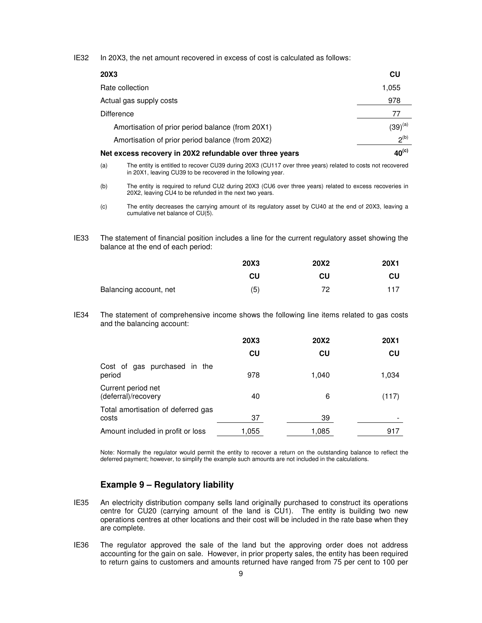IE32 In 20X3, the net amount recovered in excess of cost is calculated as follows:

| <b>20X3</b>                                             | CU                |
|---------------------------------------------------------|-------------------|
| Rate collection                                         | 1,055             |
| Actual gas supply costs                                 | 978               |
| <b>Difference</b>                                       | 77                |
| Amortisation of prior period balance (from 20X1)        | $(39)^{(a)}$      |
| Amortisation of prior period balance (from 20X2)        | $2^{(b)}$         |
| Net excess recovery in 20X2 refundable over three years | 40 <sup>(c)</sup> |

- (a) The entity is entitled to recover CU39 during 20X3 (CU117 over three years) related to costs not recovered in 20X1, leaving CU39 to be recovered in the following year.
- (b) The entity is required to refund CU2 during 20X3 (CU6 over three years) related to excess recoveries in 20X2, leaving CU4 to be refunded in the next two years.

IE33 The statement of financial position includes a line for the current regulatory asset showing the balance at the end of each period:

|                        | 20X3 | <b>20X2</b> | <b>20X1</b> |
|------------------------|------|-------------|-------------|
|                        | CU   | CU          | CU          |
| Balancing account, net | (5)  | 72          | 117         |

IE34 The statement of comprehensive income shows the following line items related to gas costs and the balancing account:

|                                             | <b>20X3</b> | <b>20X2</b> | <b>20X1</b> |
|---------------------------------------------|-------------|-------------|-------------|
|                                             | CU          | CU          | CU          |
| Cost of gas purchased in the<br>period      | 978         | 1,040       | 1,034       |
| Current period net<br>(deferral)/recovery   | 40          | 6           | (117)       |
| Total amortisation of deferred gas<br>costs | 37          | 39          |             |
| Amount included in profit or loss           | 1,055       | 1,085       | 917         |

Note: Normally the regulator would permit the entity to recover a return on the outstanding balance to reflect the deferred payment; however, to simplify the example such amounts are not included in the calculations.

#### **Example 9 – Regulatory liability**

- IE35 An electricity distribution company sells land originally purchased to construct its operations centre for CU20 (carrying amount of the land is CU1). The entity is building two new operations centres at other locations and their cost will be included in the rate base when they are complete.
- IE36 The regulator approved the sale of the land but the approving order does not address accounting for the gain on sale. However, in prior property sales, the entity has been required to return gains to customers and amounts returned have ranged from 75 per cent to 100 per

<sup>(</sup>c) The entity decreases the carrying amount of its regulatory asset by CU40 at the end of 20X3, leaving a cumulative net balance of CU(5).